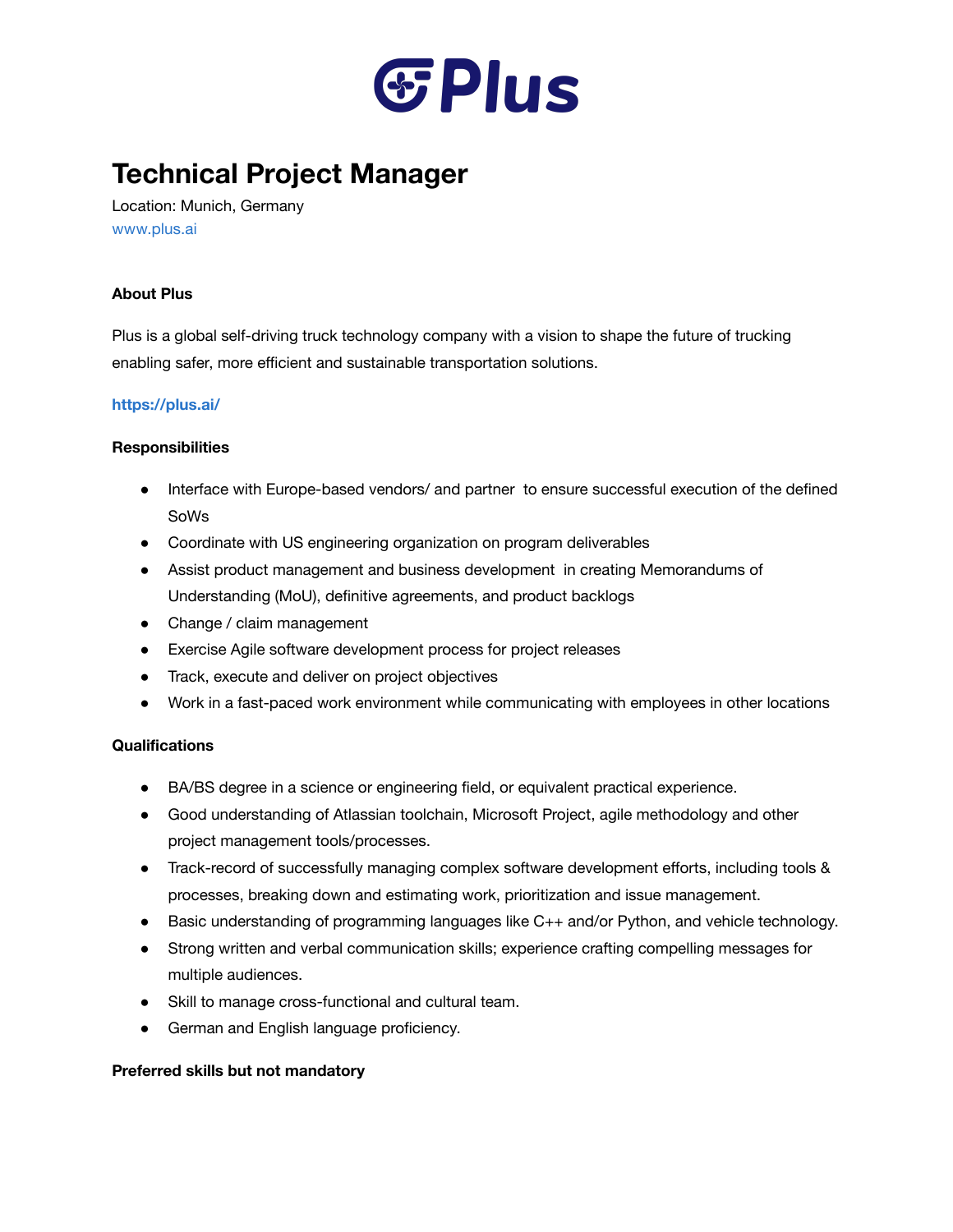

# **Technical Project Manager**

Location: Munich, Germany [www.plus.ai](http://www.plus.ai/)

# **About Plus**

Plus is a global self-driving truck technology company with a vision to shape the future of trucking enabling safer, more efficient and sustainable transportation solutions.

# **<https://plus.ai/>**

#### **Responsibilities**

- Interface with Europe-based vendors/ and partner to ensure successful execution of the defined SoWs
- Coordinate with US engineering organization on program deliverables
- Assist product management and business development in creating Memorandums of Understanding (MoU), definitive agreements, and product backlogs
- Change / claim management
- Exercise Agile software development process for project releases
- Track, execute and deliver on project objectives
- Work in a fast-paced work environment while communicating with employees in other locations

#### **Qualifications**

- BA/BS degree in a science or engineering field, or equivalent practical experience.
- Good understanding of Atlassian toolchain, Microsoft Project, agile methodology and other project management tools/processes.
- Track-record of successfully managing complex software development efforts, including tools & processes, breaking down and estimating work, prioritization and issue management.
- Basic understanding of programming languages like C++ and/or Python, and vehicle technology.
- Strong written and verbal communication skills; experience crafting compelling messages for multiple audiences.
- Skill to manage cross-functional and cultural team.
- German and English language proficiency.

# **Preferred skills but not mandatory**